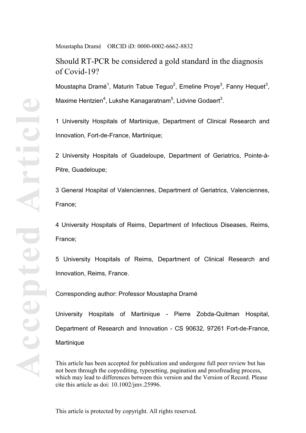Should RT-PCR be considered a gold standard in the diagnosis of Covid-19?

Moustapha Dramé<sup>1</sup>, Maturin Tabue Teguo<sup>2</sup>, Emeline Proye<sup>3</sup>, Fanny Hequet<sup>3</sup>, Maxime Hentzien<sup>4</sup>, Lukshe Kanagaratnam<sup>5</sup>, Lidvine Godaert<sup>3</sup>.

1 University Hospitals of Martinique, Department of Clinical Research and Innovation, Fort-de-France, Martinique;

2 University Hospitals of Guadeloupe, Department of Geriatrics, Pointe-à-Pitre, Guadeloupe;

3 General Hospital of Valenciennes, Department of Geriatrics, Valenciennes, France;

4 University Hospitals of Reims, Department of Infectious Diseases, Reims, France;

5 University Hospitals of Reims, Department of Clinical Research and Innovation, Reims, France.

Corresponding author: Professor Moustapha Dramé

University Hospitals of Martinique - Pierre Zobda-Quitman Hospital, Department of Research and Innovation - CS 90632, 97261 Fort-de-France, **Martinique** 

This article has been accepted for publication and undergone full peer review but has not been through the copyediting, typesetting, pagination and proofreading process, which may lead to differences between this version and the Version of Record. Please cite this article as doi: 10.1002/jmv.25996.

This article is protected by copyright. All rights reserved.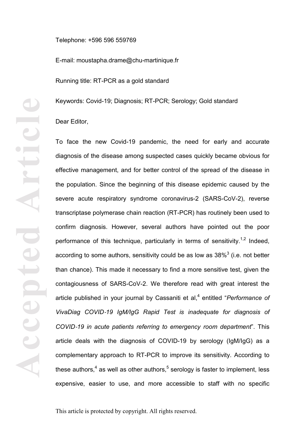Telephone: +596 596 559769

E-mail: moustapha.drame@chu-martinique.fr

Running title: RT-PCR as a gold standard

Keywords: Covid-19; Diagnosis; RT-PCR; Serology; Gold standard

Dear Editor,

To face the new Covid-19 pandemic, the need for early and accurate diagnosis of the disease among suspected cases quickly became obvious for effective management, and for better control of the spread of the disease in the population. Since the beginning of this disease epidemic caused by the severe acute respiratory syndrome coronavirus-2 (SARS-CoV-2), reverse transcriptase polymerase chain reaction (RT-PCR) has routinely been used to confirm diagnosis. However, several authors have pointed out the poor performance of this technique, particularly in terms of sensitivity.<sup>1,2</sup> Indeed, according to some authors, sensitivity could be as low as  $38\%$ <sup>3</sup> (i.e. not better than chance). This made it necessary to find a more sensitive test, given the contagiousness of SARS-CoV-2. We therefore read with great interest the article published in your journal by Cassaniti et al,<sup>4</sup> entitled "*Performance of VivaDiag COVID*-*19 IgM/IgG Rapid Test is inadequate for diagnosis of COVID*-*19 in acute patients referring to emergency room department*". This article deals with the diagnosis of COVID-19 by serology (IgM/IgG) as a complementary approach to RT-PCR to improve its sensitivity. According to these authors,<sup>4</sup> as well as other authors,<sup>5</sup> serology is faster to implement, less expensive, easier to use, and more accessible to staff with no specific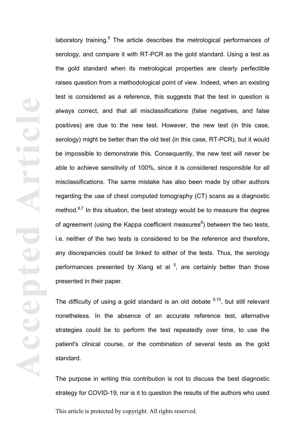**Accepted Article** rticl Accept

laboratory training.<sup>5</sup> The article describes the metrological performances of serology, and compare it with RT-PCR as the gold standard. Using a test as the gold standard when its metrological properties are clearly perfectible raises question from a methodological point of view. Indeed, when an existing test is considered as a reference, this suggests that the test in question is always correct, and that all misclassifications (false negatives, and false positives) are due to the new test. However, the new test (in this case, serology) might be better than the old test (in this case, RT-PCR), but it would be impossible to demonstrate this. Consequently, the new test will never be able to achieve sensitivity of 100%, since it is considered responsible for all misclassifications. The same mistake has also been made by other authors regarding the use of chest computed tomography (CT) scans as a diagnostic method. $6,7$  In this situation, the best strategy would be to measure the degree of agreement (using the Kappa coefficient measures $8$ ) between the two tests, i.e. neither of the two tests is considered to be the reference and therefore, any discrepancies could be linked to either of the tests. Thus, the serology performances presented by Xiang et al  $5$ , are certainly better than those presented in their paper.

The difficulty of using a gold standard is an old debate  $9,10$ , but still relevant nonetheless. In the absence of an accurate reference test, alternative strategies could be to perform the test repeatedly over time, to use the patient's clinical course, or the combination of several tests as the gold standard.

The purpose in writing this contribution is not to discuss the best diagnostic strategy for COVID-19, nor is it to question the results of the authors who used

This article is protected by copyright. All rights reserved.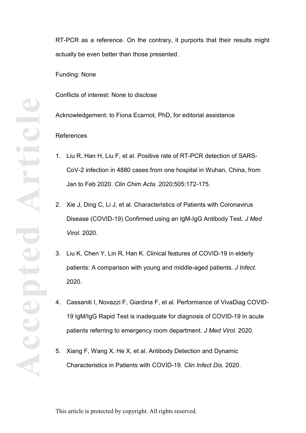RT-PCR as a reference. On the contrary, it purports that their results might actually be even better than those presented.

Funding: None

Conflicts of interest: None to disclose

Acknowledgement: to Fiona Ecarnot, PhD, for editorial assistance

## References

- 1. Liu R, Han H, Liu F, et al. Positive rate of RT-PCR detection of SARS-CoV-2 infection in 4880 cases from one hospital in Wuhan, China, from Jan to Feb 2020. *Clin Chim Acta.* 2020;505:172-175.
- 2. Xie J, Ding C, Li J, et al. Characteristics of Patients with Coronavirus Disease (COVID-19) Confirmed using an IgM-IgG Antibody Test. *J Med Virol.* 2020.
- 3. Liu K, Chen Y, Lin R, Han K. Clinical features of COVID-19 in elderly patients: A comparison with young and middle-aged patients. *J Infect.*  2020.
- 4. Cassaniti I, Novazzi F, Giardina F, et al. Performance of VivaDiag COVID-19 IgM/IgG Rapid Test is inadequate for diagnosis of COVID-19 in acute patients referring to emergency room department. *J Med Virol.* 2020.
- 5. Xiang F, Wang X, He X, et al. Antibody Detection and Dynamic Characteristics in Patients with COVID-19. *Clin Infect Dis.* 2020.